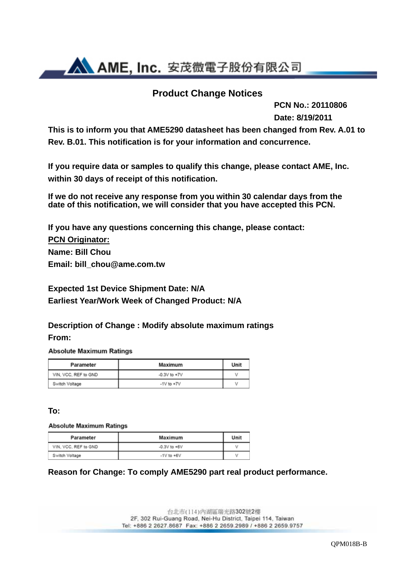**AN AME, Inc.** 安茂微電子股份有限公司

### **Product Change Notices**

 **PCN No.: 20110806 Date: 8/19/2011**

**This is to inform you that AME5290 datasheet has been changed from Rev. A.01 to Rev. B.01. This notification is for your information and concurrence.** 

**If you require data or samples to qualify this change, please contact AME, Inc. within 30 days of receipt of this notification.** 

**If we do not receive any response from you within 30 calendar days from the date of this notification, we will consider that you have accepted this PCN.** 

**If you have any questions concerning this change, please contact:** 

**PCN Originator: Name: Bill Chou Email: bill\_chou@ame.com.tw** 

**Expected 1st Device Shipment Date: N/A Earliest Year/Work Week of Changed Product: N/A** 

**Description of Change : Modify absolute maximum ratings From:** 

**Absolute Maximum Ratings** 

| Parameter            | Maximum          | Unit |
|----------------------|------------------|------|
| VIN, VCC, REF to GND | $-0.3V$ to $+7V$ | ν    |
| Switch Voltage       | $-1V$ to $+7V$   | ν    |

**To:** 

**Absolute Maximum Ratings** 

| Parameter            | Maximum          | Unit |
|----------------------|------------------|------|
| VIN, VCC, REF to GND | $-0.3V$ to $+6V$ |      |
| Switch Voltage       | $-1V$ to $+6V$   |      |

**Reason for Change: To comply AME5290 part real product performance.**

台北市(114) 內湖區瑞光路302號2樓 2F, 302 Rui-Guang Road, Nei-Hu District, Taipei 114, Taiwan Tel: +886 2 2627.8687 Fax: +886 2 2659.2989 / +886 2 2659.9757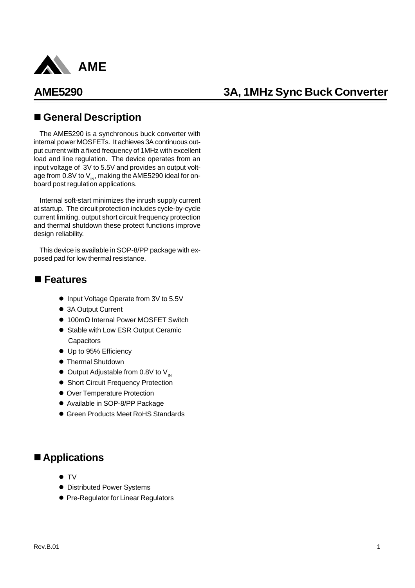

## **3A, 1MHz Sync Buck Converter**

### n **General Description**

The AME5290 is a synchronous buck converter with internal power MOSFETs. It achieves 3A continuous output current with a fixed frequency of 1MHz with excellent load and line regulation. The device operates from an input voltage of 3V to 5.5V and provides an output voltage from 0.8V to  $V_{\text{IN}}$ , making the AME5290 ideal for onboard post regulation applications.

Internal soft-start minimizes the inrush supply current at startup. The circuit protection includes cycle-by-cycle current limiting, output short circuit frequency protection and thermal shutdown these protect functions improve design reliability.

This device is available in SOP-8/PP package with exposed pad for low thermal resistance.

### n **Features**

- Input Voltage Operate from 3V to 5.5V
- 3A Output Current
- $\bullet$  100mΩ Internal Power MOSFET Switch
- **Stable with Low ESR Output Ceramic Capacitors**
- Up to 95% Efficiency
- **Thermal Shutdown**
- $\bullet$  Output Adjustable from 0.8V to V<sub>IN</sub>
- **Short Circuit Frequency Protection**
- **Over Temperature Protection**
- Available in SOP-8/PP Package
- Green Products Meet RoHS Standards

## ■ Applications

- $\bullet$  TV
- **Distributed Power Systems**
- **Pre-Regulator for Linear Regulators**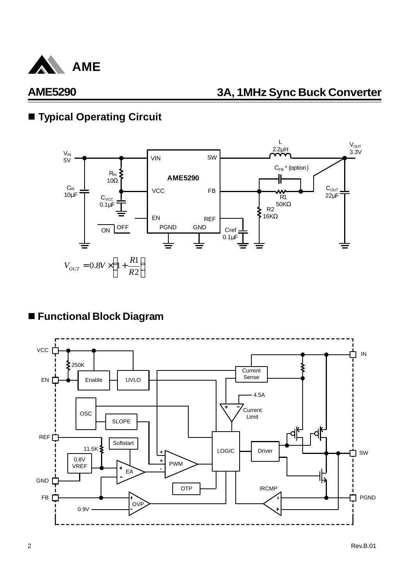

## **3A, 1MHz Sync Buck Converter**

## ■ **Typical Operating Circuit**



## ■ Functional Block Diagram

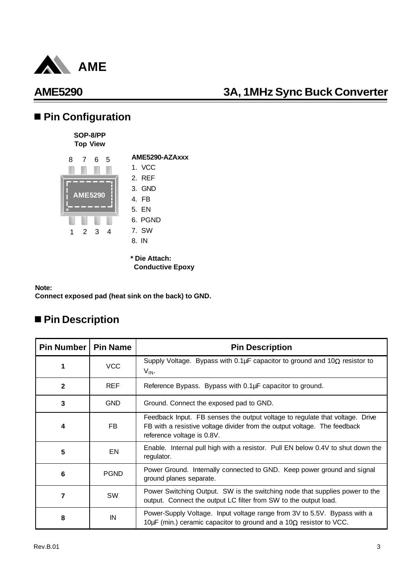

## **3A, 1MHz Sync Buck Converter**

## ■ Pin Configuration



**\* Die Attach: Conductive Epoxy**

**Note: Connect exposed pad (heat sink on the back) to GND.**

## **n** Pin Description

| <b>Pin Number</b> | <b>Pin Name</b> | <b>Pin Description</b>                                                                                                                                                                  |
|-------------------|-----------------|-----------------------------------------------------------------------------------------------------------------------------------------------------------------------------------------|
|                   | <b>VCC</b>      | Supply Voltage. Bypass with 0.1µF capacitor to ground and $10\Omega$ resistor to<br>$V_{IN}$ .                                                                                          |
| $\mathbf{2}$      | <b>REF</b>      | Reference Bypass. Bypass with 0.1µF capacitor to ground.                                                                                                                                |
| 3                 | <b>GND</b>      | Ground. Connect the exposed pad to GND.                                                                                                                                                 |
| 4                 | FB.             | Feedback Input. FB senses the output voltage to regulate that voltage. Drive<br>FB with a resistive voltage divider from the output voltage. The feedback<br>reference voltage is 0.8V. |
| 5                 | EN              | Enable. Internal pull high with a resistor. Pull EN below 0.4V to shut down the<br>regulator.                                                                                           |
| 6                 | <b>PGND</b>     | Power Ground. Internally connected to GND. Keep power ground and signal<br>ground planes separate.                                                                                      |
| 7                 | SW              | Power Switching Output. SW is the switching node that supplies power to the<br>output. Connect the output LC filter from SW to the output load.                                         |
| 8                 | IN              | Power-Supply Voltage. Input voltage range from 3V to 5.5V. Bypass with a<br>10µF (min.) ceramic capacitor to ground and a 10 $\Omega$ resistor to VCC.                                  |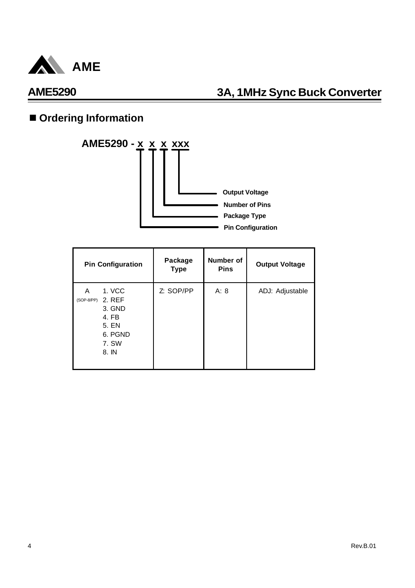

## **3A, 1MHz Sync Buck Converter**

## $\blacksquare$  **Ordering Information**



| <b>Pin Configuration</b>                                                                       | Package<br><b>Type</b> | <b>Number of</b><br><b>Pins</b> | <b>Output Voltage</b> |
|------------------------------------------------------------------------------------------------|------------------------|---------------------------------|-----------------------|
| 1. VCC<br>A<br>2. REF<br>$(SOP-8/PP)$<br>3. GND<br>4. FB<br>5. EN<br>6. PGND<br>7. SW<br>8. IN | Z: SOP/PP              | A: 8                            | ADJ: Adjustable       |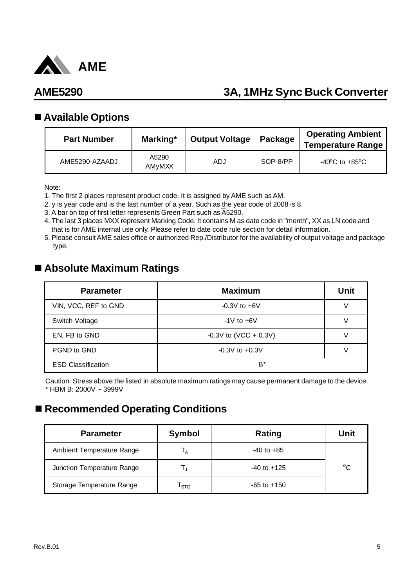

## **3A, 1MHz Sync Buck Converter**

### n **Available Options**

| <b>Part Number</b> | Marking*               | <b>Output Voltage</b> | Package  | <b>Operating Ambient</b><br><b>Temperature Range</b> |
|--------------------|------------------------|-----------------------|----------|------------------------------------------------------|
| AME5290-AZAADJ     | A5290<br><b>AMyMXX</b> | ADJ                   | SOP-8/PP | -40 <sup>o</sup> C to +85 <sup>o</sup> C             |

Note:

1. The first 2 places represent product code. It is assigned by AME such as AM.

2. y is year code and is the last number of a year. Such as the year code of 2008 is 8.

- 3. A bar on top of first letter represents Green Part such as A5290.
- 4. The last 3 places MXX represent Marking Code. It contains M as date code in "month", XX as LN code and that is for AME internal use only. Please refer to date code rule section for detail information.
- 5. Please consult AME sales office or authorized Rep./Distributor for the availability of output voltage and package type.

## n **Absolute Maximum Ratings**

| <b>Parameter</b>          | <b>Maximum</b>          | Unit |
|---------------------------|-------------------------|------|
| VIN, VCC, REF to GND      | $-0.3V$ to $+6V$        |      |
| Switch Voltage            | $-1V$ to $+6V$          |      |
| EN, FB to GND             | $-0.3V$ to (VCC + 0.3V) |      |
| PGND to GND               | $-0.3V$ to $+0.3V$      |      |
| <b>ESD Classification</b> | $B^*$                   |      |

Caution: Stress above the listed in absolute maximum ratings may cause permanent damage to the device. \* HBM B: 2000V ~ 3999V

## ■ Recommended Operating Conditions

| <b>Parameter</b>           | <b>Symbol</b>               | Rating          | Unit |
|----------------------------|-----------------------------|-----------------|------|
| Ambient Temperature Range  | $\mathsf{I}_{\mathsf{A}}$   | $-40$ to $+85$  |      |
| Junction Temperature Range |                             | $-40$ to $+125$ | °C   |
| Storage Temperature Range  | $\mathsf{r}_{\texttt{STG}}$ | $-65$ to $+150$ |      |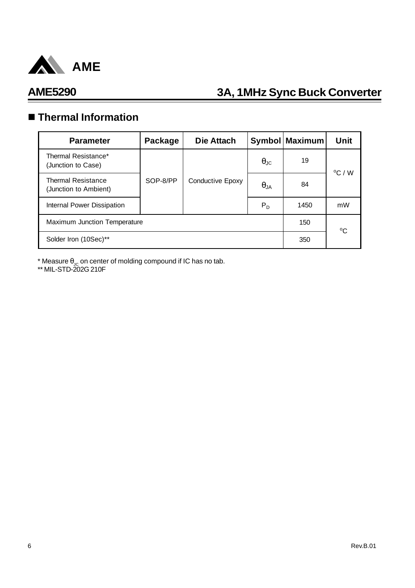

## **3A, 1MHz Sync Buck Converter**

## n **Thermal Information**

| <b>Parameter</b>                                   | Package  | Die Attach              |                      | Symbol   Maximum | <b>Unit</b>     |
|----------------------------------------------------|----------|-------------------------|----------------------|------------------|-----------------|
| Thermal Resistance*<br>(Junction to Case)          |          |                         | $\theta_{\text{JC}}$ | 19               | $\rm ^{o}C$ / W |
| <b>Thermal Resistance</b><br>(Junction to Ambient) | SOP-8/PP | <b>Conductive Epoxy</b> | $\theta$ JA          | 84               |                 |
| Internal Power Dissipation                         |          |                         | $P_D$                | 1450             | mW              |
| Maximum Junction Temperature                       |          |                         |                      | 150              | °C              |
| Solder Iron (10Sec)**                              |          |                         |                      | 350              |                 |

 $^*$  Measure  $\theta_{\text{JC}}$  on center of molding compound if IC has no tab.

\*\* MIL-STD-202G 210F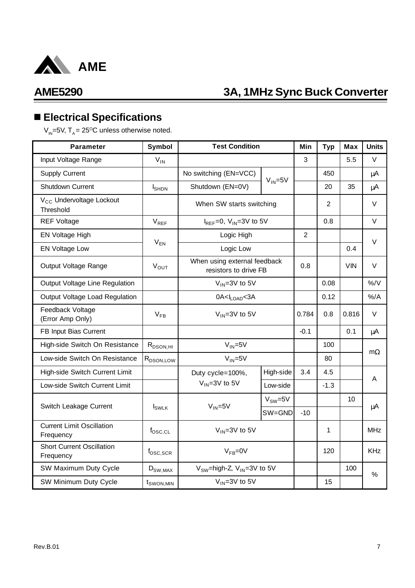

## **3A, 1MHz Sync Buck Converter**

## n **Electrical Specifications**

 $V_{IN}$ =5V, T<sub>A</sub> = 25<sup>o</sup>C unless otherwise noted.

| <b>Parameter</b>                                  | Symbol                 | <b>Test Condition</b>                                 |               | Min            | <b>Typ</b>     | <b>Max</b> | <b>Units</b> |
|---------------------------------------------------|------------------------|-------------------------------------------------------|---------------|----------------|----------------|------------|--------------|
| Input Voltage Range                               | $V_{IN}$               |                                                       |               | 3              |                | 5.5        | V            |
| <b>Supply Current</b>                             |                        | No switching (EN=VCC)                                 | $V_{IN} = 5V$ |                | 450            |            | $\mu$ A      |
| Shutdown Current                                  | <b>I</b> SHDN          | Shutdown (EN=0V)                                      |               |                | 20             | 35         | μA           |
| V <sub>CC</sub> Undervoltage Lockout<br>Threshold |                        | When SW starts switching                              |               |                | $\overline{2}$ |            | V            |
| <b>REF Voltage</b>                                | $V_{REF}$              | $I_{REF}=0$ , $V_{IN}=3V$ to 5V                       |               |                | 0.8            |            | V            |
| EN Voltage High                                   |                        | Logic High                                            |               | $\overline{2}$ |                |            | $\vee$       |
| <b>EN Voltage Low</b>                             | $V_{EN}$               | Logic Low                                             |               |                |                | 0.4        |              |
| Output Voltage Range                              | $V_{OUT}$              | When using external feedback<br>resistors to drive FB |               | 0.8            |                | <b>VIN</b> | $\vee$       |
| Output Voltage Line Regulation                    |                        | $V_{IN} = 3V$ to 5V                                   |               |                | 0.08           |            | $\%$ /V      |
| Output Voltage Load Regulation                    |                        | $0A < I_{LOAD} < 3A$                                  |               |                | 0.12           |            | $%$ /A       |
| Feedback Voltage<br>(Error Amp Only)              | $V_{FB}$               | $V_{IN} = 3V$ to 5V                                   |               | 0.784          | 0.8            | 0.816      | V            |
| FB Input Bias Current                             |                        |                                                       |               | $-0.1$         |                | 0.1        | $\mu$ A      |
| High-side Switch On Resistance                    | $R_{DSON,HI}$          | $V_{IN} = 5V$                                         |               |                | 100            |            |              |
| Low-side Switch On Resistance                     | R <sub>DSON,LOW</sub>  | $V_{IN} = 5V$                                         |               |                | 80             |            | $m\Omega$    |
| High-side Switch Current Limit                    |                        | Duty cycle=100%,                                      | High-side     | 3.4            | 4.5            |            | A            |
| Low-side Switch Current Limit                     |                        | $V_{IN} = 3V$ to 5V                                   | Low-side      |                | $-1.3$         |            |              |
| Switch Leakage Current                            |                        | $V_{IN} = 5V$                                         | $V_{SW} = 5V$ |                |                | 10         |              |
|                                                   | $I_{SWLK}$             |                                                       | SW=GND        | $-10$          |                |            | $\mu$ A      |
| <b>Current Limit Oscillation</b><br>Frequency     | $f_{\rm OSC,CL}$       | $V_{IN} = 3V$ to 5V                                   |               |                | 1              |            | <b>MHz</b>   |
| <b>Short Current Oscillation</b><br>Frequency     | $f_{\rm OSC,SCR}$      | $V_{FB} = 0V$                                         |               |                | 120            |            | <b>KHz</b>   |
| SW Maximum Duty Cycle                             | $D_{SW,MAX}$           | $V_{SW}$ =high-Z, $V_{IN}$ =3V to 5V                  |               |                |                | 100        | $\%$         |
| SW Minimum Duty Cycle                             | t <sub>SWON, MIN</sub> | $V_{IN} = 3V$ to 5V                                   |               |                | 15             |            |              |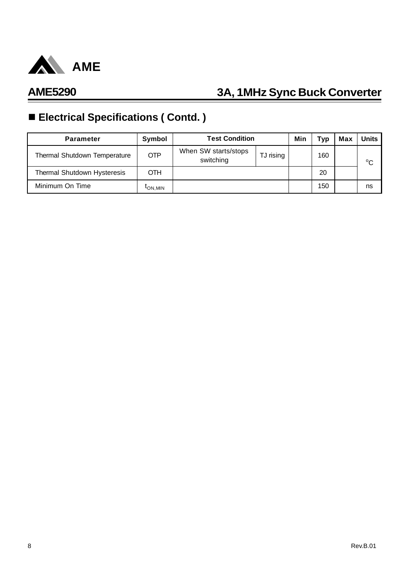

# **3A, 1MHz Sync Buck Converter**

## ■ Electrical Specifications ( Contd. )

| <b>Parameter</b>             | Symbol     | <b>Test Condition</b>             |           | Min | Typ | Max | Units |
|------------------------------|------------|-----------------------------------|-----------|-----|-----|-----|-------|
| Thermal Shutdown Temperature | <b>OTP</b> | When SW starts/stops<br>switching | TJ rising |     | 160 |     | °C    |
| Thermal Shutdown Hysteresis  | <b>OTH</b> |                                   |           |     | 20  |     |       |
| Minimum On Time              | LON.MIN    |                                   |           |     | 150 |     | ns    |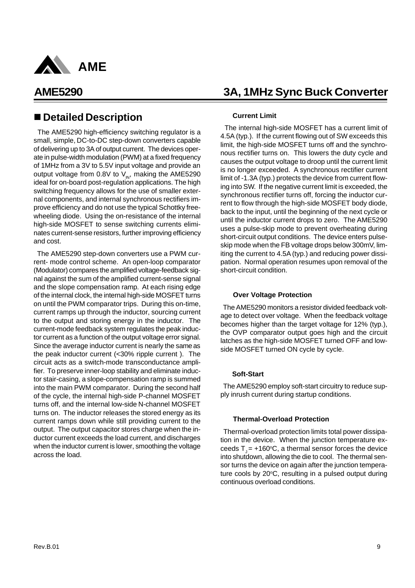

### n **Detailed Description**

 The AME5290 high-efficiency switching regulator is a small, simple, DC-to-DC step-down converters capable of delivering up to 3A of output current. The devices operate in pulse-width modulation (PWM) at a fixed frequency of 1MHz from a 3V to 5.5V input voltage and provide an output voltage from 0.8V to  $V_{\text{IN}}$ , making the AME5290 ideal for on-board post-regulation applications. The high switching frequency allows for the use of smaller external components, and internal synchronous rectifiers improve efficiency and do not use the typical Schottky freewheeling diode. Using the on-resistance of the internal high-side MOSFET to sense switching currents eliminates current-sense resistors, further improving efficiency and cost.

 The AME5290 step-down converters use a PWM current- mode control scheme. An open-loop comparator (Modulator) compares the amplified voltage-feedback signal against the sum of the amplified current-sense signal and the slope compensation ramp. At each rising edge of the internal clock, the internal high-side MOSFET turns on until the PWM comparator trips. During this on-time, current ramps up through the inductor, sourcing current to the output and storing energy in the inductor. The current-mode feedback system regulates the peak inductor current as a function of the output voltage error signal. Since the average inductor current is nearly the same as the peak inductor current (<30% ripple current ). The circuit acts as a switch-mode transconductance amplifier. To preserve inner-loop stability and eliminate inductor stair-casing, a slope-compensation ramp is summed into the main PWM comparator. During the second half of the cycle, the internal high-side P-channel MOSFET turns off, and the internal low-side N-channel MOSFET turns on. The inductor releases the stored energy as its current ramps down while still providing current to the output. The output capacitor stores charge when the inductor current exceeds the load current, and discharges when the inductor current is lower, smoothing the voltage across the load.

## **3A, 1MHz Sync Buck Converter**

#### **Current Limit**

 The internal high-side MOSFET has a current limit of 4.5A (typ.). If the current flowing out of SW exceeds this limit, the high-side MOSFET turns off and the synchronous rectifier turns on. This lowers the duty cycle and causes the output voltage to droop until the current limit is no longer exceeded. A synchronous rectifier current limit of -1.3A (typ.) protects the device from current flowing into SW. If the negative current limit is exceeded, the synchronous rectifier turns off, forcing the inductor current to flow through the high-side MOSFET body diode, back to the input, until the beginning of the next cycle or until the inductor current drops to zero. The AME5290 uses a pulse-skip mode to prevent overheating during short-circuit output conditions. The device enters pulseskip mode when the FB voltage drops below 300mV, limiting the current to 4.5A (typ.) and reducing power dissipation. Normal operation resumes upon removal of the short-circuit condition.

#### **Over Voltage Protection**

 The AME5290 monitors a resistor divided feedback voltage to detect over voltage. When the feedback voltage becomes higher than the target voltage for 12% (typ.), the OVP comparator output goes high and the circuit latches as the high-side MOSFET turned OFF and lowside MOSFET turned ON cycle by cycle.

#### **Soft-Start**

 The AME5290 employ soft-start circuitry to reduce supply inrush current during startup conditions.

#### **Thermal-Overload Protection**

 Thermal-overload protection limits total power dissipation in the device. When the junction temperature exceeds  $T = +160^{\circ}C$ , a thermal sensor forces the device into shutdown, allowing the die to cool. The thermal sensor turns the device on again after the junction temperature cools by  $20^{\circ}$ C, resulting in a pulsed output during continuous overload conditions.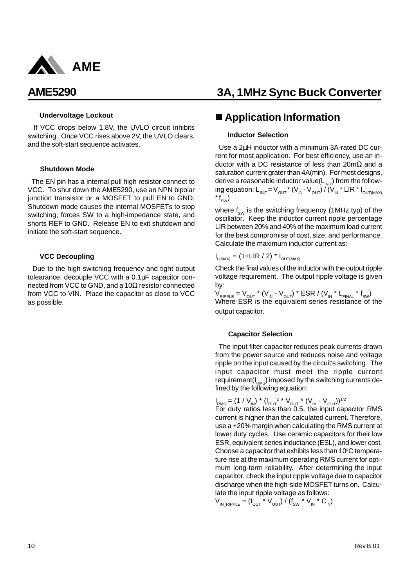

#### **Undervoltage Lockout**

 If VCC drops below 1.8V, the UVLO circuit inhibits switching. Once VCC rises above 2V, the UVLO clears, and the soft-start sequence activates.

#### **Shutdown Mode**

 The EN pin has a internal pull high resistor connect to VCC. To shut down the AME5290, use an NPN bipolar junction transistor or a MOSFET to pull EN to GND. Shutdown mode causes the internal MOSFETs to stop switching, forces SW to a high-impedance state, and shorts REF to GND. Release EN to exit shutdown and initiate the soft-start sequence.

#### **VCC Decoupling**

 Due to the high switching frequency and tight output tolearance, decouple VCC with a 0.1μF capacitor connected from VCC to GND, and a 10Ω resistor connected from VCC to VIN. Place the capacitor as close to VCC as possible.

## **3A, 1MHz Sync Buck Converter**

### ■ Application Information

#### **Inductor Selection**

 Use a 2μH inductor with a minimum 3A-rated DC current for most application. For best efficiency, use an inductor with a DC resistance of less than 20mΩ and a saturation current grater than 4A(min). For most designs, derive a reasonable inductor value( $L_{\text{INIT}}$ ) from the following equation:  $L_{\text{INIT}} = V_{\text{OUT}} \cdot (V_{\text{IN}} - V_{\text{OUT}})/((V_{\text{IN}} \cdot LIR \cdot I_{\text{OUTMAX}}))$  $^*$  f<sub>sw</sub>)

where  $f_{\text{sw}}$  is the switching frequency (1MHz typ) of the oscillator. Keep the inductor current ripple percentage LIR between 20% and 40% of the maximum load current for the best compromise of cost, size, and performance. Calculate the maximum inductor current as:

$$
I_{L(MAX)} = (1+LIR / 2) * I_{OUT(MAX)}
$$

Check the final values of the inductor with the output ripple voltage requirement. The output ripple voltage is given by:

 $V_{\text{RIPPLE}} = V_{\text{OUT}}$  \*  $(V_{\text{IN}} - V_{\text{OUT}})$  \* ESR /  $(V_{\text{IN}}$  \*  $L_{\text{FINAL}}$  \*  $f_{\text{SW}})$ Where ESR is the equivalent series resistance of the output capacitor.

#### **Capacitor Selection**

 The input filter capacitor reduces peak currents drawn from the power source and reduces noise and voltage ripple on the input caused by the circuit's switching. The input capacitor must meet the ripple current requirement( $I<sub>RMS</sub>$ ) imposed by the switching currents defined by the following equation:

$$
I_{RMS} = (1 / V_{IN}) * (I_{OUT}^2 * V_{OUT} * (V_{IN} - V_{OUT}))^{1/2}
$$

For duty ratios less than 0.5, the input capacitor RMS current is higher than the calculated current. Therefore, use a +20% margin when calculating the RMS current at lower duty cycles. Use ceramic capacitors for their low ESR, equivalent series inductance (ESL), and lower cost. Choose a capacitor that exhibits less than  $10^{\circ}$ C temperature rise at the maximum operating RMS current for optimum long-term reliability. After determining the input capacitor, check the input ripple voltage due to capacitor discharge when the high-side MOSFET turns on. Calculate the input ripple voltage as follows:

 $V_{INRIPPIF} = (I_{OUT} * V_{OUT}) / (f_{SW} * V_{IN} * C_{IN})$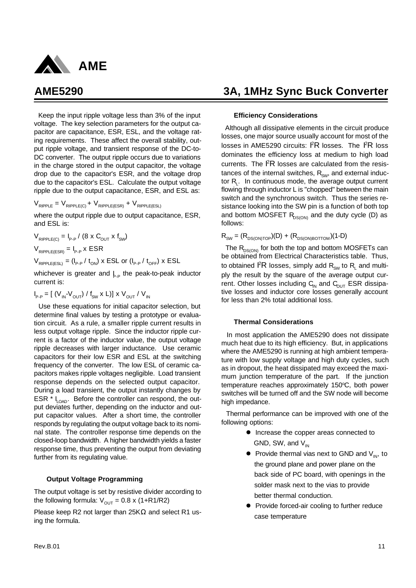

 Keep the input ripple voltage less than 3% of the input voltage. The key selection parameters for the output capacitor are capacitance, ESR, ESL, and the voltage rating requirements. These affect the overall stability, output ripple voltage, and transient response of the DC-to-DC converter. The output ripple occurs due to variations in the charge stored in the output capacitor, the voltage drop due to the capacitor's ESR, and the voltage drop due to the capacitor's ESL. Calculate the output voltage ripple due to the output capacitance, ESR, and ESL as:

 $V_{RIPPLE} = V_{RIPPLE(C)} + V_{RIPPLE(ESR)} + V_{RIPPLE(ESL)}$ 

where the output ripple due to output capacitance, ESR, and ESL is:

 $V_{\text{piplet}} = I_{\text{p.p}} / (8 \times C_{\text{out}} \times f_{\text{SM}})$  $V_{RIPPLE(ESR)} = I_{P-P}$  x ESR

 $V_{\text{RIPPLE(ESL)}} = (I_{\text{p.p}} / t_{\text{ON}}) \times \text{ESL}$  or  $(I_{\text{p.p}} / t_{\text{OFF}}) \times \text{ESL}$ 

whichever is greater and  $\mathbf{L}_p$  the peak-to-peak inductor current is:

$$
I_{P-P} = [ (V_{IN} - V_{OUT}) / f_{SW} \times L ) ] \times V_{OUT} / V_{IN}
$$

 Use these equations for initial capacitor selection, but determine final values by testing a prototype or evaluation circuit. As a rule, a smaller ripple current results in less output voltage ripple. Since the inductor ripple current is a factor of the inductor value, the output voltage ripple decreases with larger inductance. Use ceramic capacitors for their low ESR and ESL at the switching frequency of the converter. The low ESL of ceramic capacitors makes ripple voltages negligible. Load transient response depends on the selected output capacitor. During a load transient, the output instantly changes by ESR  $*$  I<sub>LOAD</sub>. Before the controller can respond, the output deviates further, depending on the inductor and output capacitor values. After a short time, the controller responds by regulating the output voltage back to its nominal state. The controller response time depends on the closed-loop bandwidth. A higher bandwidth yields a faster response time, thus preventing the output from deviating further from its regulating value.

#### **Output Voltage Programming**

The output voltage is set by resistive divider according to the following formula:  $V_{OUT} = 0.8 \times (1 + R1/R2)$ 

Please keep R2 not larger than 25KΩ and select R1 using the formula.

## **3A, 1MHz Sync Buck Converter**

#### **Efficiency Considerations**

 Although all dissipative elements in the circuit produce losses, one major source usually account for most of the losses in AME5290 circuits: I<sup>2</sup>R losses. The I<sup>2</sup>R loss dominates the efficiency loss at medium to high load currents. The <sup>P</sup>R losses are calculated from the resistances of the internal switches,  $R_{\text{SW}}$ , and external inductor  $R_$ . In continuous mode, the average output current flowing through inductor L is "chopped" between the main switch and the synchronous switch. Thus the series resistance looking into the SW pin is a function of both top and bottom MOSFET  $R_{DS(ON)}$  and the duty cycle (D) as follows:

 $R_{SW} = (R_{DS(ON)TOP})(D) + (R_{DS(ON)ROTTOM})(1-D)$ 

The  $R_{DS(ON)}$  for both the top and bottom MOSFETs can be obtained from Electrical Characteristics table. Thus, to obtained  $\mathsf{^{\mathsf{P}R}}$  losses, simply add  $\mathsf{R}_{_{\mathsf{SW}}}$  to  $\mathsf{R}_{_{\mathsf{L}}}$  and multiply the result by the square of the average output current. Other losses including  $C_{\text{IN}}$  and  $C_{\text{OUT}}$  ESR dissipative losses and inductor core losses generally account for less than 2% total additional loss.

#### **Thermal Considerations**

 In most application the AME5290 does not dissipate much heat due to its high efficiency. But, in applications where the AME5290 is running at high ambient temperature with low supply voltage and high duty cycles, such as in dropout, the heat dissipated may exceed the maximum junction temperature of the part. If the junction temperature reaches approximately 150°C, both power switches will be turned off and the SW node will become high impedance.

 Thermal performance can be improved with one of the following options:

- Increase the copper areas connected to GND, SW, and  $V_{IN}$
- Provide thermal vias next to GND and  $V_{IN}$ , to the ground plane and power plane on the back side of PC board, with openings in the solder mask next to the vias to provide better thermal conduction.
- Provide forced-air cooling to further reduce case temperature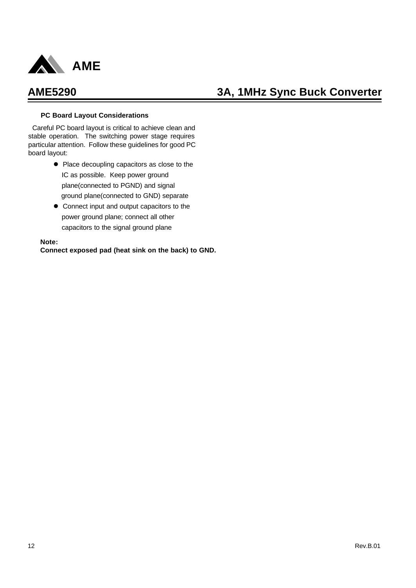

## **3A, 1MHz Sync Buck Converter**

### **PC Board Layout Considerations**

 Careful PC board layout is critical to achieve clean and stable operation. The switching power stage requires particular attention. Follow these guidelines for good PC board layout:

- Place decoupling capacitors as close to the IC as possible. Keep power ground plane(connected to PGND) and signal ground plane(connected to GND) separate
- Connect input and output capacitors to the power ground plane; connect all other capacitors to the signal ground plane

#### **Note:**

#### **Connect exposed pad (heat sink on the back) to GND.**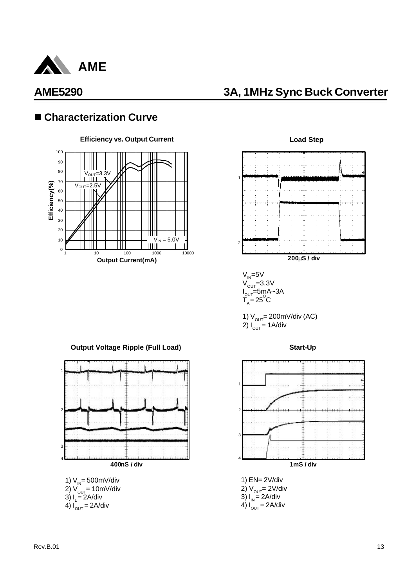

## **3A, 1MHz Sync Buck Converter**

## ■ Characterization Curve





 $V_{\text{IN}}$ =5V  $V_{\text{OUT}}$ =3.3V  $I_{\text{OUT}}$ =5m $A$ ~3A  $\overline{T}_{A} = 25^{\circ}C$ 

1)  $V_{\text{OUT}}$ = 200mV/div (AC) 2) I<sub>out</sub> = 1A/div

**Output Voltage Ripple (Full Load)**









1) EN= 2V/div 2) V<sub>out</sub>= 2V/div 3) I<sub>IN</sub> = 2A/div 4)  $I_{\text{OUT}}^{\text{max}} = 2 \text{A/div}$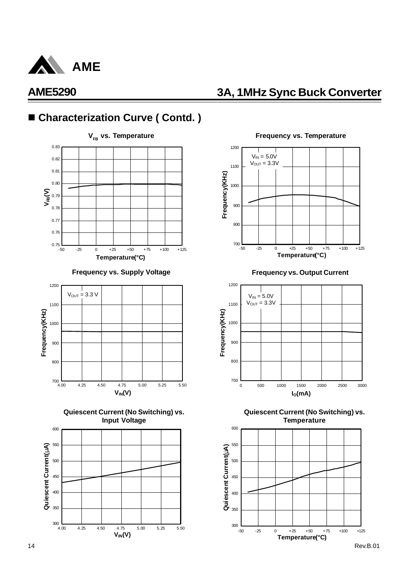

## **3A, 1MHz Sync Buck Converter**

## ■ Characterization Curve ( Contd. )



#### **Frequency vs. Supply Voltage Frequency vs. Output Current**











#### **Quiescent Current (No Switching) vs. Temperature**

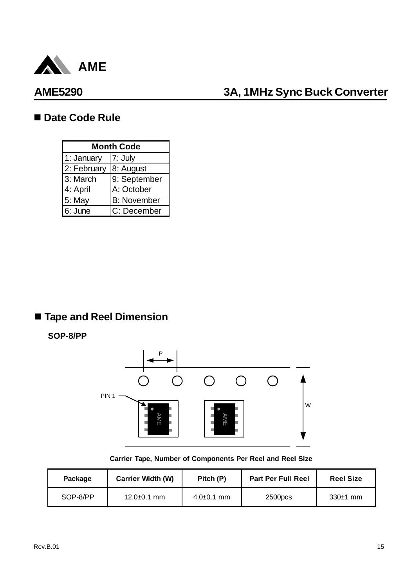

## **3A, 1MHz Sync Buck Converter**

## ■ Date Code Rule

| <b>Month Code</b> |                    |  |  |
|-------------------|--------------------|--|--|
| 1: January        | 7: July            |  |  |
| 2: February       | 8: August          |  |  |
| 3: March          | 9: September       |  |  |
| 4: April          | A: October         |  |  |
| 5: May            | <b>B:</b> November |  |  |
| 6: June           | C: December        |  |  |

## n **Tape and Reel Dimension**

### **SOP-8/PP**



|  |  | Carrier Tape, Number of Components Per Reel and Reel Size |  |  |  |
|--|--|-----------------------------------------------------------|--|--|--|
|--|--|-----------------------------------------------------------|--|--|--|

| Package  | <b>Carrier Width (W)</b> | Pitch (P)        | <b>Part Per Full Reel</b> | <b>Reel Size</b> |
|----------|--------------------------|------------------|---------------------------|------------------|
| SOP-8/PP | $12.0\pm 0.1$ mm         | $4.0{\pm}0.1$ mm | 2500pcs                   | $330±1$ mm       |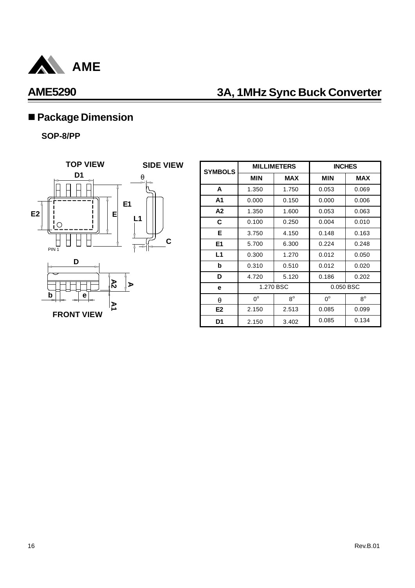

## **3A, 1MHz Sync Buck Converter**

## ■ Package Dimension

### **SOP-8/PP**



| <b>SYMBOLS</b> | <b>MILLIMETERS</b> |             | <b>INCHES</b> |             |
|----------------|--------------------|-------------|---------------|-------------|
|                | MIN                | <b>MAX</b>  | <b>MIN</b>    | <b>MAX</b>  |
| A              | 1.350              | 1.750       | 0.053         | 0.069       |
| A1             | 0.000              | 0.150       | 0.000         | 0.006       |
| A2             | 1.350              | 1.600       | 0.053         | 0.063       |
| C              | 0.100              | 0.250       | 0.004         | 0.010       |
| Е.             | 3.750              | 4.150       | 0.148         | 0.163       |
| E <sub>1</sub> | 5.700              | 6.300       | 0.224         | 0.248       |
| L1             | 0.300              | 1.270       | 0.012         | 0.050       |
| b              | 0.310              | 0.510       | 0.012         | 0.020       |
| D              | 4.720              | 5.120       | 0.186         | 0.202       |
| е              | 1.270 BSC          |             | 0.050 BSC     |             |
| a              | $0^{\circ}$        | $8^{\circ}$ | $0^{\circ}$   | $8^{\circ}$ |
| E <sub>2</sub> | 2.150              | 2.513       | 0.085         | 0.099       |
| D <sub>1</sub> | 2.150              | 3.402       | 0.085         | 0.134       |